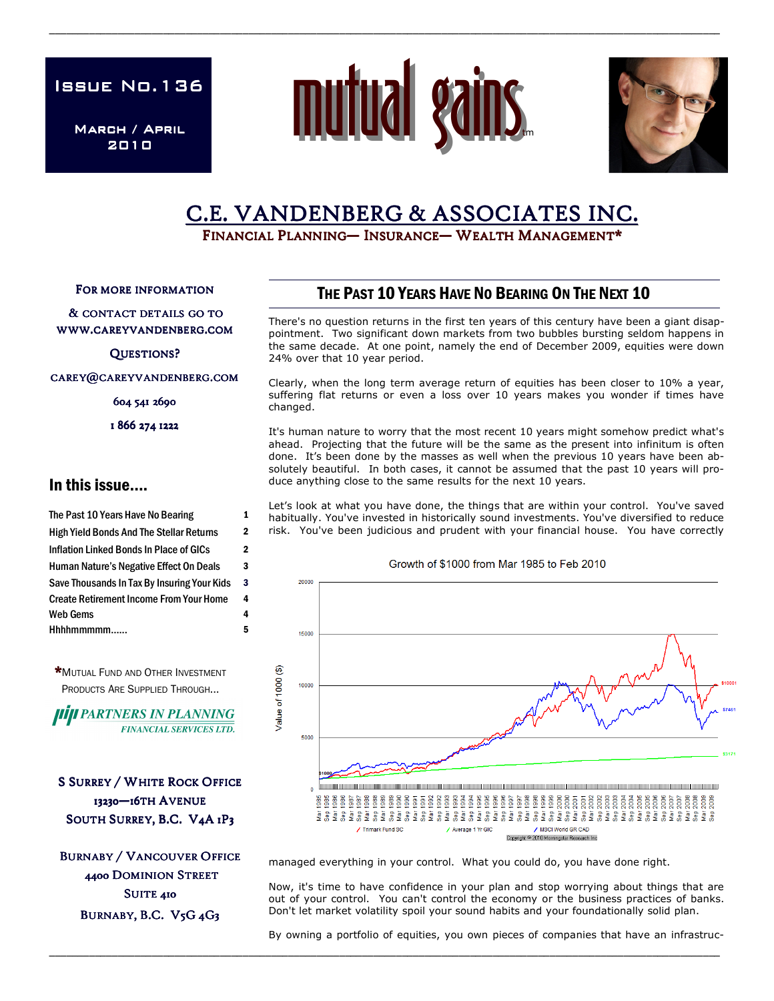**ISSUE No.136** 

March / April 2010



\_\_\_\_\_\_\_\_\_\_\_\_\_\_\_\_\_\_\_\_\_\_\_\_\_\_\_\_\_\_\_\_\_\_\_\_\_\_\_\_\_\_\_\_\_\_\_\_\_\_\_\_\_\_\_\_\_\_\_\_\_\_\_\_\_\_\_\_\_\_\_\_\_\_\_\_\_\_\_\_\_\_\_\_\_\_\_\_\_\_\_\_\_\_\_\_\_\_\_\_\_\_\_\_\_\_\_\_\_\_\_\_\_\_\_\_\_\_



# C.E. VANDENBERG & ASSOCIATES INC.

FINANCIAL PLANNING— INSURANCE— WEALTH MANAGEMENT\*

FOR MORE INFORMATION

& CONTACT DETAILS GO TO WWW.CAREYVANDENBERG.COM

QUESTIONS?

CAREY@CAREYVANDENBERG.COM

604 541 2690

1 866 274 1222

### In this issue….

The Past 10 Years Have No Bearing 1 High Yield Bonds And The Stellar Returns 2 Inflation Linked Bonds In Place of GICs 2 Human Nature's Negative Effect On Deals 3 Hhhhmmmmm…... 5 Save Thousands In Tax By Insuring Your Kids 3 Web Gems 4 Create Retirement Income From Your Home 4



**HIJI PARTNERS IN PLANNING FINANCIAL SERVICES LTD.** 

**S SURREY / WHITE ROCK OFFICE** 13230-16TH AVENUE SOUTH SURREY, B.C. V4A 1P3

**BURNABY / VANCOUVER OFFICE** 4400 DOMINION STREET SUITE 410 BURNABY, B.C. V5G 4G3

## THE PAST 10 YEARS HAVE NO BEARING ON THE NEXT 10

There's no question returns in the first ten years of this century have been a giant disappointment. Two significant down markets from two bubbles bursting seldom happens in the same decade. At one point, namely the end of December 2009, equities were down 24% over that 10 year period.

Clearly, when the long term average return of equities has been closer to 10% a year, suffering flat returns or even a loss over 10 years makes you wonder if times have changed.

It's human nature to worry that the most recent 10 years might somehow predict what's ahead. Projecting that the future will be the same as the present into infinitum is often done. It's been done by the masses as well when the previous 10 years have been absolutely beautiful. In both cases, it cannot be assumed that the past 10 years will produce anything close to the same results for the next 10 years.

Let's look at what you have done, the things that are within your control. You've saved habitually. You've invested in historically sound investments. You've diversified to reduce risk. You've been judicious and prudent with your financial house. You have correctly



managed everything in your control. What you could do, you have done right.

\_\_\_\_\_\_\_\_\_\_\_\_\_\_\_\_\_\_\_\_\_\_\_\_\_\_\_\_\_\_\_\_\_\_\_\_\_\_\_\_\_\_\_\_\_\_\_\_\_\_\_\_\_\_\_\_\_\_\_\_\_\_\_\_\_\_\_\_\_\_\_\_\_\_\_\_\_\_\_\_\_\_\_\_\_\_\_\_\_\_\_\_\_\_\_\_\_\_\_\_\_\_\_\_\_\_\_\_\_\_\_\_\_\_\_\_\_\_

Now, it's time to have confidence in your plan and stop worrying about things that are out of your control. You can't control the economy or the business practices of banks. Don't let market volatility spoil your sound habits and your foundationally solid plan.

By owning a portfolio of equities, you own pieces of companies that have an infrastruc-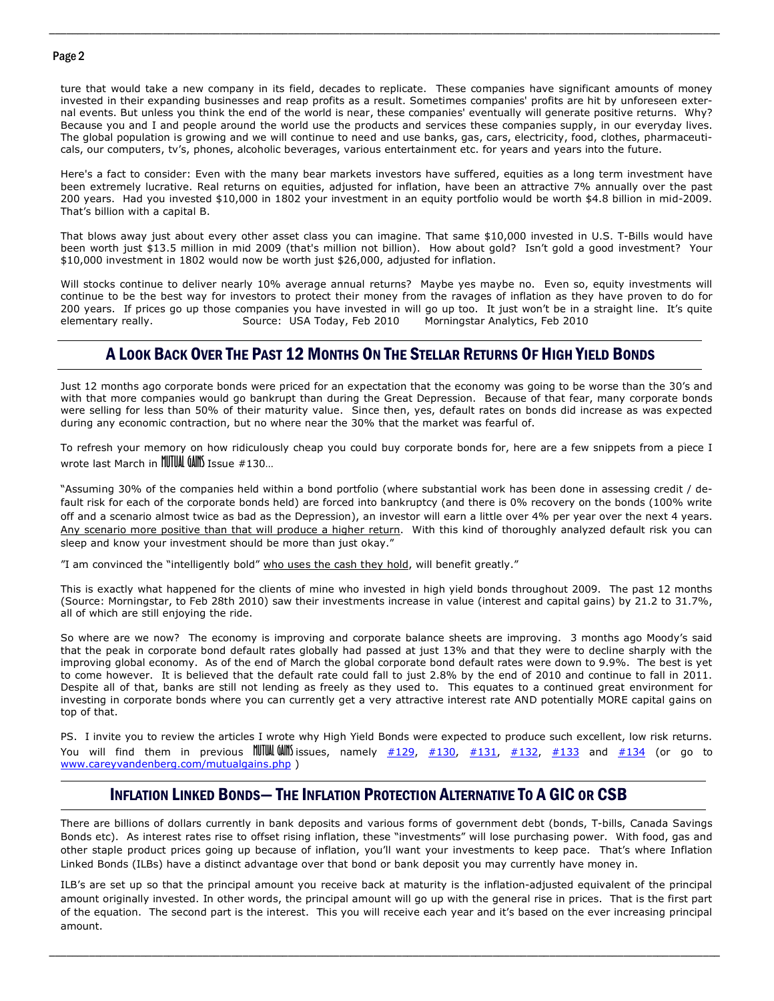#### Page 2

ture that would take a new company in its field, decades to replicate. These companies have significant amounts of money invested in their expanding businesses and reap profits as a result. Sometimes companies' profits are hit by unforeseen external events. But unless you think the end of the world is near, these companies' eventually will generate positive returns. Why? Because you and I and people around the world use the products and services these companies supply, in our everyday lives. The global population is growing and we will continue to need and use banks, gas, cars, electricity, food, clothes, pharmaceuticals, our computers, tv's, phones, alcoholic beverages, various entertainment etc. for years and years into the future.

\_\_\_\_\_\_\_\_\_\_\_\_\_\_\_\_\_\_\_\_\_\_\_\_\_\_\_\_\_\_\_\_\_\_\_\_\_\_\_\_\_\_\_\_\_\_\_\_\_\_\_\_\_\_\_\_\_\_\_\_\_\_\_\_\_\_\_\_\_\_\_\_\_\_\_\_\_\_\_\_\_\_\_\_\_\_\_\_\_\_\_\_\_\_\_\_\_\_\_\_\_\_\_\_\_\_\_\_\_\_\_\_\_\_\_\_\_\_

Here's a fact to consider: Even with the many bear markets investors have suffered, equities as a long term investment have been extremely lucrative. Real returns on equities, adjusted for inflation, have been an attractive 7% annually over the past 200 years. Had you invested \$10,000 in 1802 your investment in an equity portfolio would be worth \$4.8 billion in mid-2009. That's billion with a capital B.

That blows away just about every other asset class you can imagine. That same \$10,000 invested in U.S. T-Bills would have been worth just \$13.5 million in mid 2009 (that's million not billion). How about gold? Isn't gold a good investment? Your \$10,000 investment in 1802 would now be worth just \$26,000, adjusted for inflation.

Will stocks continue to deliver nearly 10% average annual returns? Maybe yes maybe no. Even so, equity investments will continue to be the best way for investors to protect their money from the ravages of inflation as they have proven to do for 200 years. If prices go up those companies you have invested in will go up too. It just won't be in a straight line. It's quite elementary really. Source: USA Today, Feb 2010 Morningstar Analytics, Feb 2010

### A LOOK BACK OVER THE PAST 12 MONTHS ON THE STELLAR RETURNS OF HIGH YIELD BONDS

Just 12 months ago corporate bonds were priced for an expectation that the economy was going to be worse than the 30's and with that more companies would go bankrupt than during the Great Depression. Because of that fear, many corporate bonds were selling for less than 50% of their maturity value. Since then, yes, default rates on bonds did increase as was expected during any economic contraction, but no where near the 30% that the market was fearful of.

To refresh your memory on how ridiculously cheap you could buy corporate bonds for, here are a few snippets from a piece I wrote last March in MUTUAL GAINS Issue #130…

"Assuming 30% of the companies held within a bond portfolio (where substantial work has been done in assessing credit / default risk for each of the corporate bonds held) are forced into bankruptcy (and there is 0% recovery on the bonds (100% write off and a scenario almost twice as bad as the Depression), an investor will earn a little over 4% per year over the next 4 years. Any scenario more positive than that will produce a higher return. With this kind of thoroughly analyzed default risk you can sleep and know your investment should be more than just okay."

"I am convinced the "intelligently bold" who uses the cash they hold, will benefit greatly."

This is exactly what happened for the clients of mine who invested in high yield bonds throughout 2009. The past 12 months (Source: Morningstar, to Feb 28th 2010) saw their investments increase in value (interest and capital gains) by 21.2 to 31.7%, all of which are still enjoying the ride.

So where are we now? The economy is improving and corporate balance sheets are improving. 3 months ago Moody's said that the peak in corporate bond default rates globally had passed at just 13% and that they were to decline sharply with the improving global economy. As of the end of March the global corporate bond default rates were down to 9.9%. The best is yet to come however. It is believed that the default rate could fall to just 2.8% by the end of 2010 and continue to fall in 2011. Despite all of that, banks are still not lending as freely as they used to. This equates to a continued great environment for investing in corporate bonds where you can currently get a very attractive interest rate AND potentially MORE capital gains on top of that.

PS. I invite you to review the articles I wrote why High Yield Bonds were expected to produce such excellent, low risk returns. You will find them in previous **IUTUAL GAINS** issues, namely  $\frac{\#129}{\#130}$ ,  $\frac{\#131}{\#132}$ ,  $\frac{\#133}{\#133}$  and  $\frac{\#134}{\#134}$  (or go to www.careyvandenberg.com/mutualgains.php )

### INFLATION LINKED BONDS— THE INFLATION PROTECTION ALTERNATIVE TO A GIC OR CSB

There are billions of dollars currently in bank deposits and various forms of government debt (bonds, T-bills, Canada Savings Bonds etc). As interest rates rise to offset rising inflation, these "investments" will lose purchasing power. With food, gas and other staple product prices going up because of inflation, you'll want your investments to keep pace. That's where Inflation Linked Bonds (ILBs) have a distinct advantage over that bond or bank deposit you may currently have money in.

ILB's are set up so that the principal amount you receive back at maturity is the inflation-adjusted equivalent of the principal amount originally invested. In other words, the principal amount will go up with the general rise in prices. That is the first part of the equation. The second part is the interest. This you will receive each year and it's based on the ever increasing principal amount.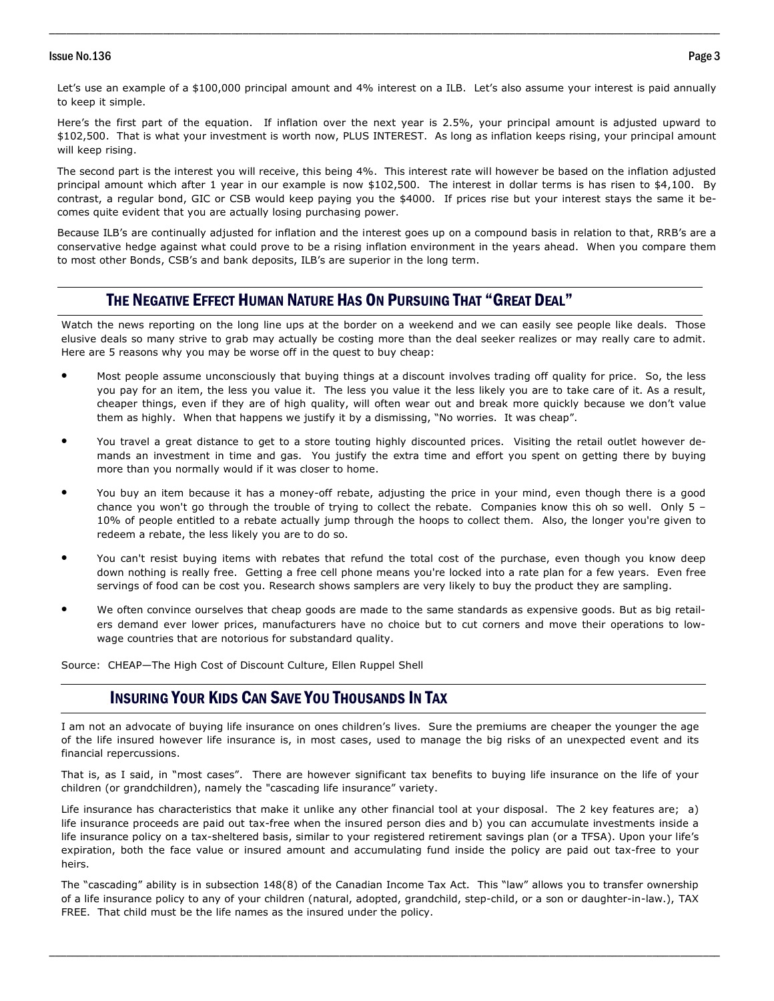#### Issue No.136 Page 3

Let's use an example of a \$100,000 principal amount and 4% interest on a ILB. Let's also assume your interest is paid annually to keep it simple.

\_\_\_\_\_\_\_\_\_\_\_\_\_\_\_\_\_\_\_\_\_\_\_\_\_\_\_\_\_\_\_\_\_\_\_\_\_\_\_\_\_\_\_\_\_\_\_\_\_\_\_\_\_\_\_\_\_\_\_\_\_\_\_\_\_\_\_\_\_\_\_\_\_\_\_\_\_\_\_\_\_\_\_\_\_\_\_\_\_\_\_\_\_\_\_\_\_\_\_\_\_\_\_\_\_\_\_\_\_\_\_\_\_\_\_\_\_\_

Here's the first part of the equation. If inflation over the next year is 2.5%, your principal amount is adjusted upward to \$102,500. That is what your investment is worth now, PLUS INTEREST. As long as inflation keeps rising, your principal amount will keep rising.

The second part is the interest you will receive, this being 4%. This interest rate will however be based on the inflation adjusted principal amount which after 1 year in our example is now \$102,500. The interest in dollar terms is has risen to \$4,100. By contrast, a regular bond, GIC or CSB would keep paying you the \$4000. If prices rise but your interest stays the same it becomes quite evident that you are actually losing purchasing power.

Because ILB's are continually adjusted for inflation and the interest goes up on a compound basis in relation to that, RRB's are a conservative hedge against what could prove to be a rising inflation environment in the years ahead. When you compare them to most other Bonds, CSB's and bank deposits, ILB's are superior in the long term.

### THE NEGATIVE EFFECT HUMAN NATURE HAS ON PURSUING THAT "GREAT DEAL"

Watch the news reporting on the long line ups at the border on a weekend and we can easily see people like deals. Those elusive deals so many strive to grab may actually be costing more than the deal seeker realizes or may really care to admit. Here are 5 reasons why you may be worse off in the quest to buy cheap:

- Most people assume unconsciously that buying things at a discount involves trading off quality for price. So, the less you pay for an item, the less you value it. The less you value it the less likely you are to take care of it. As a result, cheaper things, even if they are of high quality, will often wear out and break more quickly because we don't value them as highly. When that happens we justify it by a dismissing, "No worries. It was cheap".
- You travel a great distance to get to a store touting highly discounted prices. Visiting the retail outlet however demands an investment in time and gas. You justify the extra time and effort you spent on getting there by buying more than you normally would if it was closer to home.
- You buy an item because it has a money-off rebate, adjusting the price in your mind, even though there is a good chance you won't go through the trouble of trying to collect the rebate. Companies know this oh so well. Only 5 – 10% of people entitled to a rebate actually jump through the hoops to collect them. Also, the longer you're given to redeem a rebate, the less likely you are to do so.
- You can't resist buying items with rebates that refund the total cost of the purchase, even though you know deep down nothing is really free. Getting a free cell phone means you're locked into a rate plan for a few years. Even free servings of food can be cost you. Research shows samplers are very likely to buy the product they are sampling.
- We often convince ourselves that cheap goods are made to the same standards as expensive goods. But as big retailers demand ever lower prices, manufacturers have no choice but to cut corners and move their operations to lowwage countries that are notorious for substandard quality.

Source: CHEAP—The High Cost of Discount Culture, Ellen Ruppel Shell

### INSURING YOUR KIDS CAN SAVE YOU THOUSANDS IN TAX

I am not an advocate of buying life insurance on ones children's lives. Sure the premiums are cheaper the younger the age of the life insured however life insurance is, in most cases, used to manage the big risks of an unexpected event and its financial repercussions.

That is, as I said, in "most cases". There are however significant tax benefits to buying life insurance on the life of your children (or grandchildren), namely the "cascading life insurance" variety.

Life insurance has characteristics that make it unlike any other financial tool at your disposal. The 2 key features are; a) life insurance proceeds are paid out tax-free when the insured person dies and b) you can accumulate investments inside a life insurance policy on a tax-sheltered basis, similar to your registered retirement savings plan (or a TFSA). Upon your life's expiration, both the face value or insured amount and accumulating fund inside the policy are paid out tax-free to your heirs.

The "cascading" ability is in subsection 148(8) of the Canadian Income Tax Act. This "law" allows you to transfer ownership of a life insurance policy to any of your children (natural, adopted, grandchild, step-child, or a son or daughter-in-law.), TAX FREE. That child must be the life names as the insured under the policy.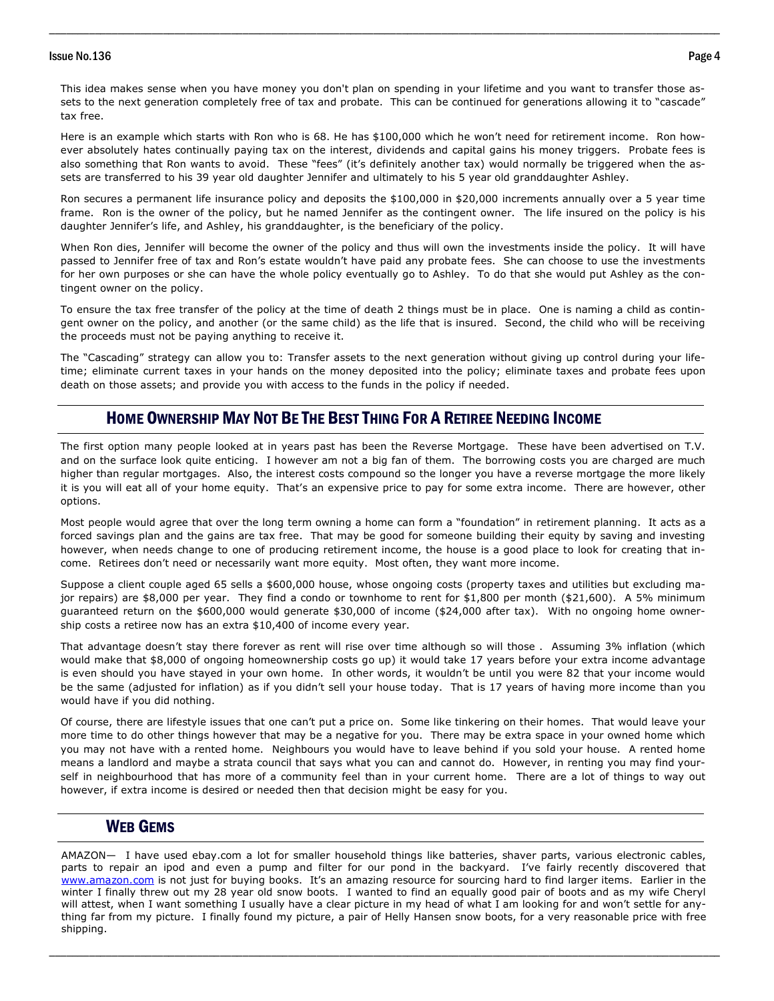#### Issue No.136 Page 4

This idea makes sense when you have money you don't plan on spending in your lifetime and you want to transfer those assets to the next generation completely free of tax and probate. This can be continued for generations allowing it to "cascade" tax free.

\_\_\_\_\_\_\_\_\_\_\_\_\_\_\_\_\_\_\_\_\_\_\_\_\_\_\_\_\_\_\_\_\_\_\_\_\_\_\_\_\_\_\_\_\_\_\_\_\_\_\_\_\_\_\_\_\_\_\_\_\_\_\_\_\_\_\_\_\_\_\_\_\_\_\_\_\_\_\_\_\_\_\_\_\_\_\_\_\_\_\_\_\_\_\_\_\_\_\_\_\_\_\_\_\_\_\_\_\_\_\_\_\_\_\_\_\_\_

Here is an example which starts with Ron who is 68. He has \$100,000 which he won't need for retirement income. Ron however absolutely hates continually paying tax on the interest, dividends and capital gains his money triggers. Probate fees is also something that Ron wants to avoid. These "fees" (it's definitely another tax) would normally be triggered when the assets are transferred to his 39 year old daughter Jennifer and ultimately to his 5 year old granddaughter Ashley.

Ron secures a permanent life insurance policy and deposits the \$100,000 in \$20,000 increments annually over a 5 year time frame. Ron is the owner of the policy, but he named Jennifer as the contingent owner. The life insured on the policy is his daughter Jennifer's life, and Ashley, his granddaughter, is the beneficiary of the policy.

When Ron dies, Jennifer will become the owner of the policy and thus will own the investments inside the policy. It will have passed to Jennifer free of tax and Ron's estate wouldn't have paid any probate fees. She can choose to use the investments for her own purposes or she can have the whole policy eventually go to Ashley. To do that she would put Ashley as the contingent owner on the policy.

To ensure the tax free transfer of the policy at the time of death 2 things must be in place. One is naming a child as contingent owner on the policy, and another (or the same child) as the life that is insured. Second, the child who will be receiving the proceeds must not be paying anything to receive it.

 time; eliminate current taxes in your hands on the money deposited into the policy; eliminate taxes and probate fees upon The "Cascading" strategy can allow you to: Transfer assets to the next generation without giving up control during your lifedeath on those assets; and provide you with access to the funds in the policy if needed.

#### HOME OWNERSHIP MAY NOT BE THE BEST THING FOR A RETIREE NEEDING INCOME

The first option many people looked at in years past has been the Reverse Mortgage. These have been advertised on T.V. and on the surface look quite enticing. I however am not a big fan of them. The borrowing costs you are charged are much higher than regular mortgages. Also, the interest costs compound so the longer you have a reverse mortgage the more likely it is you will eat all of your home equity. That's an expensive price to pay for some extra income. There are however, other options.

Most people would agree that over the long term owning a home can form a "foundation" in retirement planning. It acts as a forced savings plan and the gains are tax free. That may be good for someone building their equity by saving and investing however, when needs change to one of producing retirement income, the house is a good place to look for creating that income. Retirees don't need or necessarily want more equity. Most often, they want more income.

Suppose a client couple aged 65 sells a \$600,000 house, whose ongoing costs (property taxes and utilities but excluding major repairs) are \$8,000 per year. They find a condo or townhome to rent for \$1,800 per month (\$21,600). A 5% minimum guaranteed return on the \$600,000 would generate \$30,000 of income (\$24,000 after tax). With no ongoing home ownership costs a retiree now has an extra \$10,400 of income every year.

That advantage doesn't stay there forever as rent will rise over time although so will those . Assuming 3% inflation (which would make that \$8,000 of ongoing homeownership costs go up) it would take 17 years before your extra income advantage is even should you have stayed in your own home. In other words, it wouldn't be until you were 82 that your income would be the same (adjusted for inflation) as if you didn't sell your house today. That is 17 years of having more income than you would have if you did nothing.

Of course, there are lifestyle issues that one can't put a price on. Some like tinkering on their homes. That would leave your more time to do other things however that may be a negative for you. There may be extra space in your owned home which you may not have with a rented home. Neighbours you would have to leave behind if you sold your house. A rented home means a landlord and maybe a strata council that says what you can and cannot do. However, in renting you may find yourself in neighbourhood that has more of a community feel than in your current home. There are a lot of things to way out however, if extra income is desired or needed then that decision might be easy for you.

#### WEB GEMS

AMAZON— I have used ebay.com a lot for smaller household things like batteries, shaver parts, various electronic cables, parts to repair an ipod and even a pump and filter for our pond in the backyard. I've fairly recently discovered that www.amazon.com is not just for buying books. It's an amazing resource for sourcing hard to find larger items. Earlier in the winter I finally threw out my 28 year old snow boots. I wanted to find an equally good pair of boots and as my wife Cheryl will attest, when I want something I usually have a clear picture in my head of what I am looking for and won't settle for anything far from my picture. I finally found my picture, a pair of Helly Hansen snow boots, for a very reasonable price with free shipping.